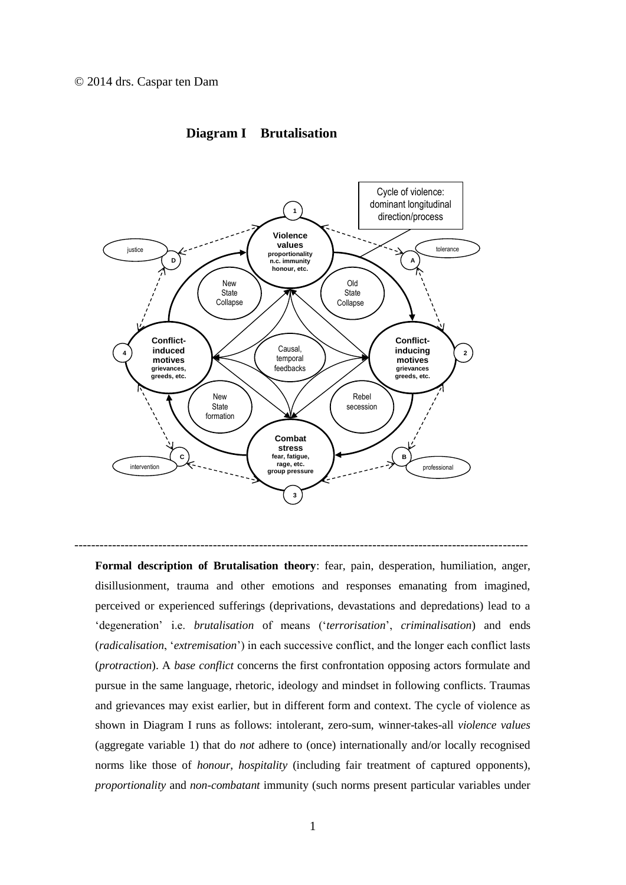

## **Diagram I Brutalisation**

**Formal description of Brutalisation theory**: fear, pain, desperation, humiliation, anger, disillusionment, trauma and other emotions and responses emanating from imagined, perceived or experienced sufferings (deprivations, devastations and depredations) lead to a 'degeneration' i.e. *brutalisation* of means ('*terrorisation*', *criminalisation*) and ends (*radicalisation*, '*extremisation*') in each successive conflict, and the longer each conflict lasts (*protraction*). A *base conflict* concerns the first confrontation opposing actors formulate and pursue in the same language, rhetoric, ideology and mindset in following conflicts. Traumas and grievances may exist earlier, but in different form and context. The cycle of violence as shown in Diagram I runs as follows: intolerant, zero-sum, winner-takes-all *violence values* (aggregate variable 1) that do *not* adhere to (once) internationally and/or locally recognised norms like those of *honour*, *hospitality* (including fair treatment of captured opponents), *proportionality* and *non-combatant* immunity (such norms present particular variables under

------------------------------------------------------------------------------------------------------------